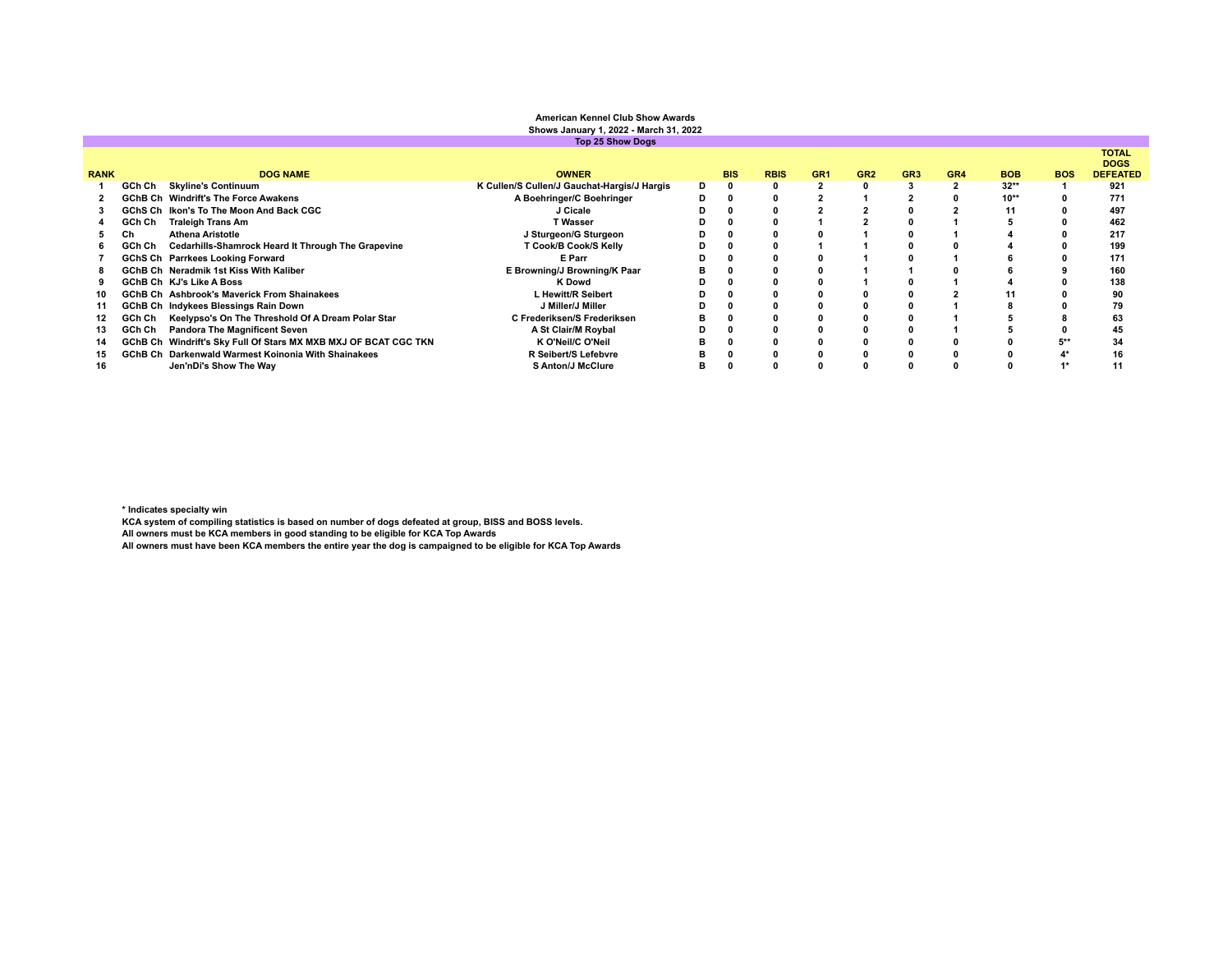|                         | <b>American Kennel Club Show Awards</b><br>Shows January 1, 2022 - March 31, 2022 |                                                                 |                                             |   |            |             |                 |                 |                 |                 |            |            |                                                |
|-------------------------|-----------------------------------------------------------------------------------|-----------------------------------------------------------------|---------------------------------------------|---|------------|-------------|-----------------|-----------------|-----------------|-----------------|------------|------------|------------------------------------------------|
| <b>Top 25 Show Dogs</b> |                                                                                   |                                                                 |                                             |   |            |             |                 |                 |                 |                 |            |            |                                                |
| <b>RANK</b>             |                                                                                   | <b>DOG NAME</b>                                                 | <b>OWNER</b>                                |   | <b>BIS</b> | <b>RBIS</b> | GR <sub>1</sub> | GR <sub>2</sub> | GR <sub>3</sub> | GR <sub>4</sub> | <b>BOB</b> | <b>BOS</b> | <b>TOTAL</b><br><b>DOGS</b><br><b>DEFEATED</b> |
|                         | GCh Ch                                                                            | <b>Skyline's Continuum</b>                                      | K Cullen/S Cullen/J Gauchat-Hargis/J Hargis | D |            |             |                 |                 |                 |                 | $32**$     |            | 921                                            |
|                         |                                                                                   | <b>GChB Ch</b> Windrift's The Force Awakens                     | A Boehringer/C Boehringer                   | D |            |             |                 |                 |                 |                 | $10**$     |            | 771                                            |
|                         |                                                                                   | GChS Ch Ikon's To The Moon And Back CGC                         | J Cicale                                    |   |            |             |                 |                 |                 |                 |            |            | 497                                            |
|                         | GCh Ch                                                                            | <b>Traleigh Trans Am</b>                                        | <b>T Wasser</b>                             |   |            |             |                 |                 |                 |                 |            |            | 462                                            |
|                         | Сh                                                                                | <b>Athena Aristotle</b>                                         | J Sturgeon/G Sturgeon                       |   |            |             |                 |                 |                 |                 |            |            | 217                                            |
|                         | GCh Ch                                                                            | Cedarhills-Shamrock Heard It Through The Grapevine              | T Cook/B Cook/S Kelly                       |   |            |             |                 |                 |                 |                 |            |            | 199                                            |
|                         |                                                                                   | GChS Ch Parrkees Looking Forward                                | E Parr                                      |   |            |             |                 |                 |                 |                 |            |            | 171                                            |
|                         |                                                                                   | <b>GChB Ch</b> Neradmik 1st Kiss With Kaliber                   | E Browning/J Browning/K Paar                |   |            |             |                 |                 |                 |                 |            |            | 160                                            |
|                         |                                                                                   | <b>GChB Ch KJ's Like A Boss</b>                                 | K Dowd                                      | n |            |             |                 |                 |                 |                 |            |            | 138                                            |
|                         |                                                                                   | <b>GChB Ch</b> Ashbrook's Maverick From Shainakees              | L Hewitt/R Seibert                          |   |            |             |                 |                 |                 |                 |            |            | 90                                             |
|                         |                                                                                   | GChB Ch Indykees Blessings Rain Down                            | J Miller/J Miller                           |   |            |             |                 |                 |                 |                 |            |            | 79                                             |
|                         | GCh Ch                                                                            | Keelypso's On The Threshold Of A Dream Polar Star               | C Frederiksen/S Frederiksen                 |   |            |             |                 |                 |                 |                 |            |            | 63                                             |
| 13                      | GCh Ch                                                                            | <b>Pandora The Magnificent Seven</b>                            | A St Clair/M Roybal                         |   |            |             |                 |                 |                 |                 |            |            | 45                                             |
| 14                      |                                                                                   | GChB Ch Windrift's Sky Full Of Stars MX MXB MXJ OF BCAT CGC TKN | K O'Neil/C O'Neil                           |   |            |             |                 |                 |                 |                 |            | $5**$      | 34                                             |
| 15.                     |                                                                                   | <b>GChB Ch</b> Darkenwald Warmest Koinonia With Shainakees      | R Seibert/S Lefebvre                        |   |            |             |                 |                 |                 |                 |            |            | 16                                             |
|                         |                                                                                   | Jen'nDi's Show The Way                                          | <b>S Anton/J McClure</b>                    | в |            |             |                 |                 |                 |                 |            |            | 11                                             |

\* Indicates specialty win<br>KCA system of compiling statistics is based on number of dogs defeated at group, BISS and BOSS levels.<br>All owners must be KCA members in good standing to be eligible for KCA Top Awards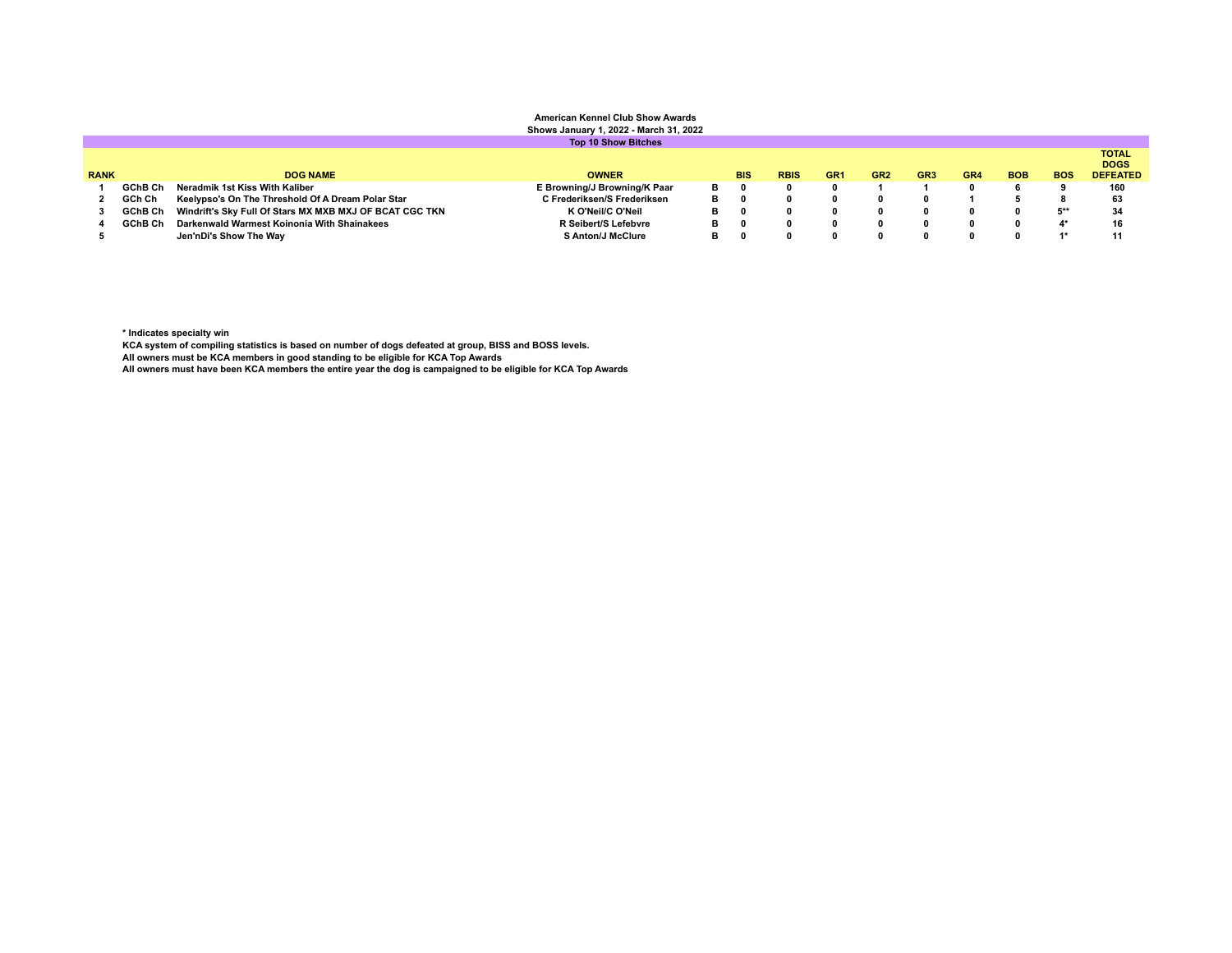## **American Kennel Club Show Awards Shows January 1, 2022 - March 31, 2022**

|             |         |                                                         | <b>Top 10 Show Bitches</b>   |   |            |             |                 |                 |                 |                 |            |            |                                                |
|-------------|---------|---------------------------------------------------------|------------------------------|---|------------|-------------|-----------------|-----------------|-----------------|-----------------|------------|------------|------------------------------------------------|
| <b>RANK</b> |         | <b>DOG NAME</b>                                         | <b>OWNER</b>                 |   | <b>BIS</b> | <b>RBIS</b> | GR <sub>1</sub> | GR <sub>2</sub> | GR <sub>3</sub> | GR <sub>4</sub> | <b>BOB</b> | <b>BOS</b> | <b>TOTAL</b><br><b>DOGS</b><br><b>DEFEATED</b> |
|             | GChB Ch | Neradmik 1st Kiss With Kaliber                          | E Browning/J Browning/K Paar | в |            |             |                 |                 |                 |                 |            |            | 160                                            |
|             | GCh Ch  | Keelypso's On The Threshold Of A Dream Polar Star       | C Frederiksen/S Frederiksen  | в |            |             |                 |                 |                 |                 |            |            | 63                                             |
|             | GChB Ch | Windrift's Sky Full Of Stars MX MXB MXJ OF BCAT CGC TKN | K O'Neil/C O'Neil            |   |            |             |                 |                 |                 |                 |            | $5**$      | 34                                             |
|             | GChB Ch | Darkenwald Warmest Koinonia With Shainakees             | R Seibert/S Lefebvre         |   |            |             |                 |                 |                 |                 |            | 4*         | 16                                             |
|             |         | Jen'nDi's Show The Way                                  | <b>S Anton/J McClure</b>     |   |            |             |                 |                 |                 |                 |            | $4*$       | 11                                             |
|             |         |                                                         |                              |   |            |             |                 |                 |                 |                 |            |            |                                                |

**\* Indicates specialty win**

**KCA system of compiling statistics is based on number of dogs defeated at group, BISS and BOSS levels.**

**All owners must be KCA members in good standing to be eligible for KCA Top Awards**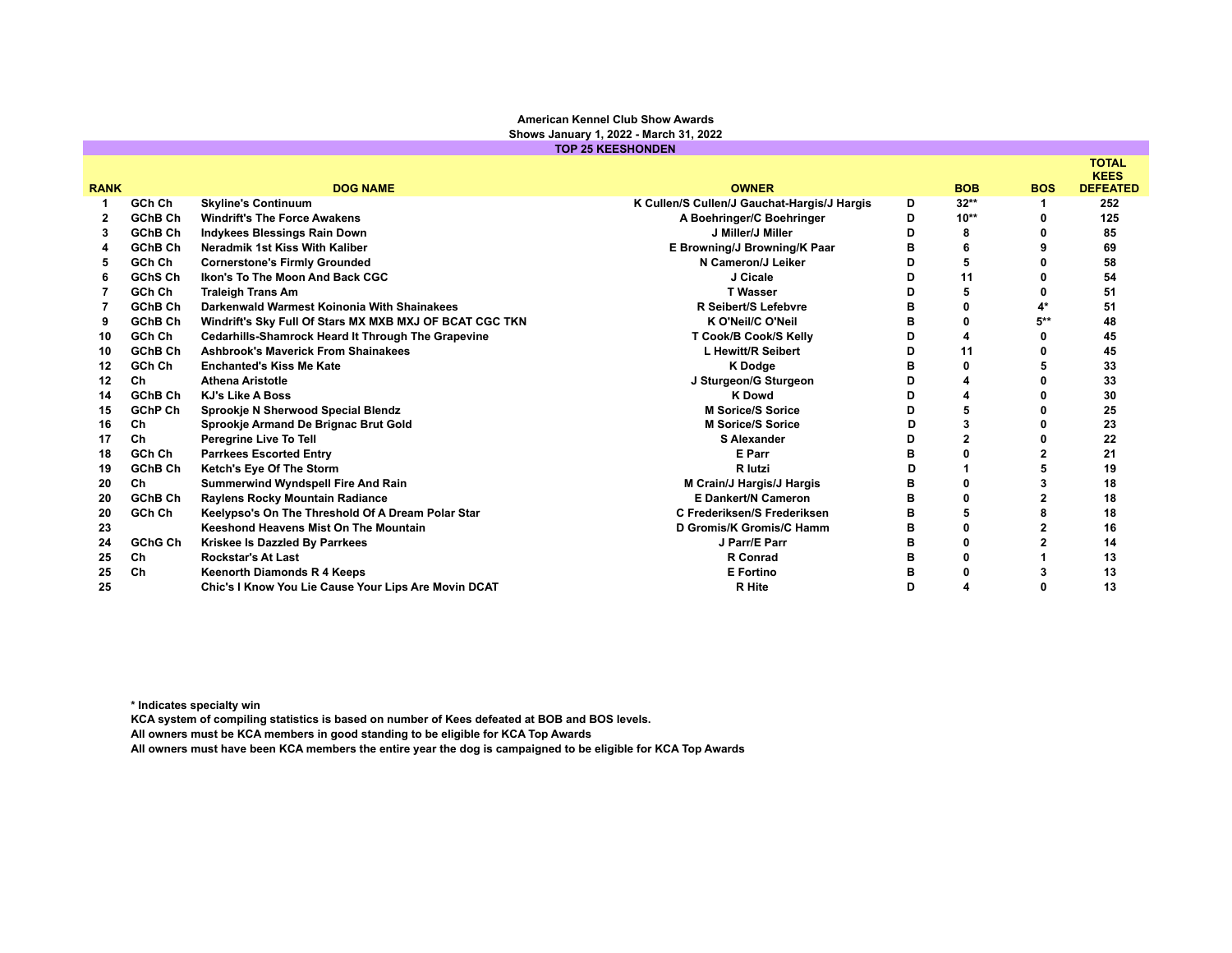## **American Kennel Club Show Awards Shows January 1, 2022 - March 31, 2022**

**TOP 25 KEESHONDEN**

|              |                |                                                           |                                             |   |            |            | <b>TOTAL</b><br><b>KEES</b> |
|--------------|----------------|-----------------------------------------------------------|---------------------------------------------|---|------------|------------|-----------------------------|
| <b>RANK</b>  |                | <b>DOG NAME</b>                                           | <b>OWNER</b>                                |   | <b>BOB</b> | <b>BOS</b> | <b>DEFEATED</b>             |
|              | GCh Ch         | <b>Skyline's Continuum</b>                                | K Cullen/S Cullen/J Gauchat-Hargis/J Hargis | D | $32**$     |            | 252                         |
| $\mathbf{2}$ | <b>GChB Ch</b> | <b>Windrift's The Force Awakens</b>                       | A Boehringer/C Boehringer                   | D | $10**$     |            | 125                         |
| 3            | GChB Ch        | <b>Indykees Blessings Rain Down</b>                       | J Miller/J Miller                           | D | 8          |            | 85                          |
|              | GChB Ch        | Neradmik 1st Kiss With Kaliber                            | E Browning/J Browning/K Paar                | в | 6          |            | 69                          |
| 5            | GCh Ch         | <b>Cornerstone's Firmly Grounded</b>                      | N Cameron/J Leiker                          | D |            |            | 58                          |
| 6            | GChS Ch        | Ikon's To The Moon And Back CGC                           | J Cicale                                    | D | 11         |            | 54                          |
|              | GCh Ch         | <b>Traleigh Trans Am</b>                                  | <b>T</b> Wasser                             | D |            |            | 51                          |
|              | GChB Ch        | Darkenwald Warmest Koinonia With Shainakees               | R Seibert/S Lefebvre                        | в |            |            | 51                          |
| 9            | GChB Ch        | Windrift's Sky Full Of Stars MX MXB MXJ OF BCAT CGC TKN   | K O'Neil/C O'Neil                           | в |            | 5**        | 48                          |
| 10           | GCh Ch         | <b>Cedarhills-Shamrock Heard It Through The Grapevine</b> | T Cook/B Cook/S Kelly                       | D |            |            | 45                          |
| 10           | <b>GChB Ch</b> | <b>Ashbrook's Maverick From Shainakees</b>                | L Hewitt/R Seibert                          | D | 11         |            | 45                          |
| 12           | GCh Ch         | <b>Enchanted's Kiss Me Kate</b>                           | <b>K</b> Dodge                              | в |            |            | 33                          |
| 12           | Ch             | <b>Athena Aristotle</b>                                   | J Sturgeon/G Sturgeon                       | D |            |            | 33                          |
| 14           | GChB Ch        | <b>KJ's Like A Boss</b>                                   | <b>K</b> Dowd                               | D |            |            | 30                          |
| 15           | <b>GChP Ch</b> | Sprookje N Sherwood Special Blendz                        | <b>M Sorice/S Sorice</b>                    | D |            |            | 25                          |
| 16           | Ch             | Sprookje Armand De Brignac Brut Gold                      | <b>M Sorice/S Sorice</b>                    | D |            |            | 23                          |
| 17           | Ch             | Peregrine Live To Tell                                    | <b>S Alexander</b>                          | D |            |            | 22                          |
| 18           | GCh Ch         | <b>Parrkees Escorted Entry</b>                            | E Parr                                      | в |            |            | 21                          |
| 19           | <b>GChB Ch</b> | Ketch's Eye Of The Storm                                  | R lutzi                                     | D |            |            | 19                          |
| 20           | Ch             | <b>Summerwind Wyndspell Fire And Rain</b>                 | M Crain/J Hargis/J Hargis                   | в |            |            | 18                          |
| 20           | GChB Ch        | Raylens Rocky Mountain Radiance                           | <b>E Dankert/N Cameron</b>                  | B |            |            | 18                          |
| 20           | GCh Ch         | Keelypso's On The Threshold Of A Dream Polar Star         | C Frederiksen/S Frederiksen                 | в |            |            | 18                          |
| 23           |                | Keeshond Heavens Mist On The Mountain                     | D Gromis/K Gromis/C Hamm                    | в |            |            | 16                          |
| 24           | <b>GChG Ch</b> | Kriskee Is Dazzled By Parrkees                            | J Parr/E Parr                               | в | n          |            | 14                          |
| 25           | Ch             | <b>Rockstar's At Last</b>                                 | <b>R</b> Conrad                             | в |            |            | 13                          |
| 25           | Ch             | <b>Keenorth Diamonds R 4 Keeps</b>                        | <b>E</b> Fortino                            | в |            |            | 13                          |
| 25           |                | Chic's I Know You Lie Cause Your Lips Are Movin DCAT      | <b>R</b> Hite                               | D |            |            | 13                          |

**\* Indicates specialty win**

**KCA system of compiling statistics is based on number of Kees defeated at BOB and BOS levels.**

**All owners must be KCA members in good standing to be eligible for KCA Top Awards**